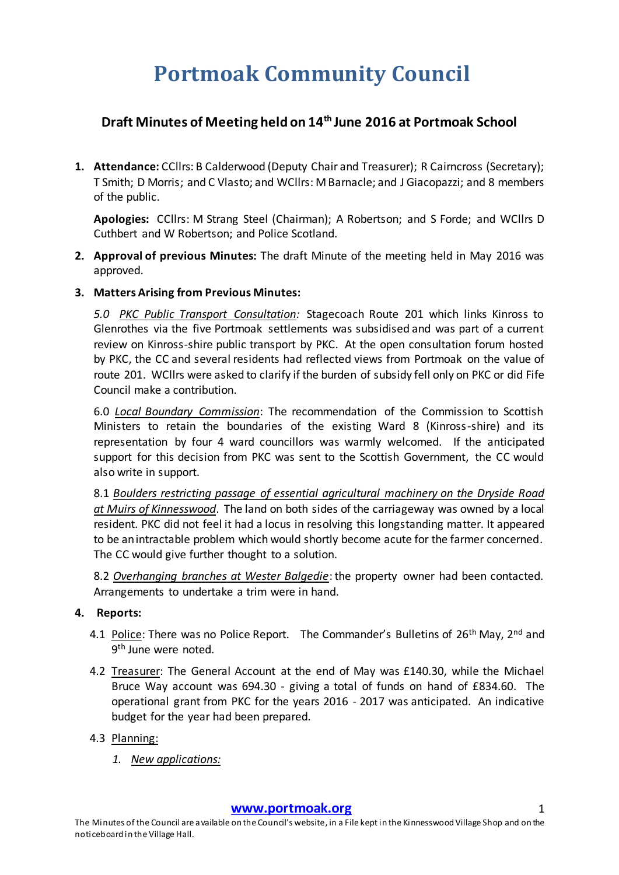# **Portmoak Community Council**

# **Draft Minutes of Meeting held on 14th June 2016 at Portmoak School**

**1. Attendance:** CCllrs: B Calderwood (Deputy Chair and Treasurer); R Cairncross (Secretary); T Smith; D Morris; and C Vlasto; and WCllrs: M Barnacle; and J Giacopazzi; and 8 members of the public.

**Apologies:** CCllrs: M Strang Steel (Chairman); A Robertson; and S Forde; and WCllrs D Cuthbert and W Robertson; and Police Scotland.

- **2. Approval of previous Minutes:** The draft Minute of the meeting held in May 2016 was approved.
- **3. Matters Arising from Previous Minutes:**

*5.0 PKC Public Transport Consultation:* Stagecoach Route 201 which links Kinross to Glenrothes via the five Portmoak settlements was subsidised and was part of a current review on Kinross-shire public transport by PKC. At the open consultation forum hosted by PKC, the CC and several residents had reflected views from Portmoak on the value of route 201. WCllrs were asked to clarify if the burden of subsidy fell only on PKC or did Fife Council make a contribution.

6.0 *Local Boundary Commission*: The recommendation of the Commission to Scottish Ministers to retain the boundaries of the existing Ward 8 (Kinross-shire) and its representation by four 4 ward councillors was warmly welcomed. If the anticipated support for this decision from PKC was sent to the Scottish Government, the CC would also write in support.

8.1 *Boulders restricting passage of essential agricultural machinery on the Dryside Road at Muirs of Kinnesswood*. The land on both sides of the carriageway was owned by a local resident. PKC did not feel it had a locus in resolving this longstanding matter. It appeared to be an intractable problem which would shortly become acute for the farmer concerned. The CC would give further thought to a solution.

8.2 *Overhanging branches at Wester Balgedie*: the property owner had been contacted. Arrangements to undertake a trim were in hand.

#### **4. Reports:**

- 4.1 Police: There was no Police Report. The Commander's Bulletins of 26<sup>th</sup> May, 2<sup>nd</sup> and 9<sup>th</sup> June were noted.
- 4.2 Treasurer: The General Account at the end of May was £140.30, while the Michael Bruce Way account was 694.30 - giving a total of funds on hand of £834.60. The operational grant from PKC for the years 2016 - 2017 was anticipated. An indicative budget for the year had been prepared.

## 4.3 Planning:

*1. New applications:*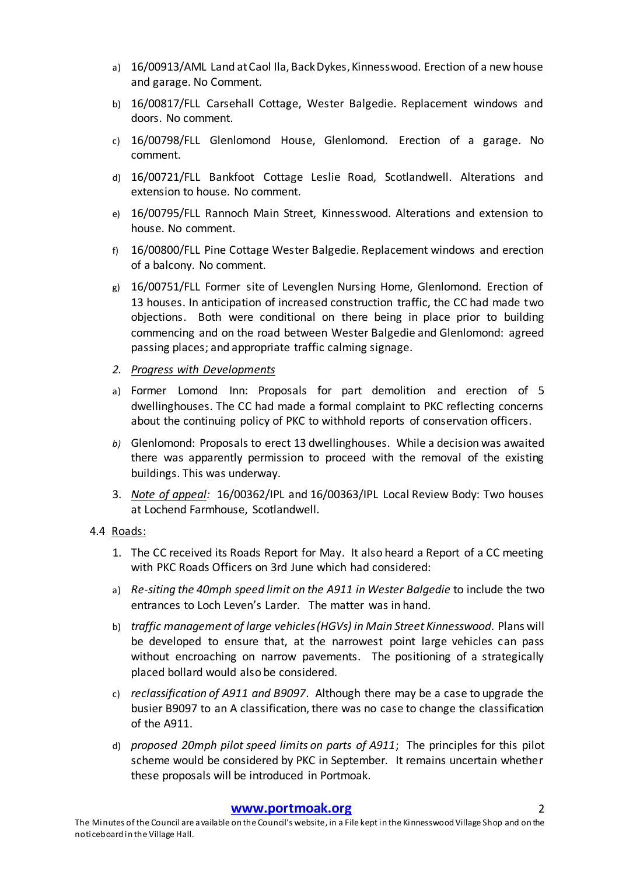- a) 16/00913/AML Land at Caol Ila, Back Dykes, Kinnesswood. Erection of a new house and garage. No Comment.
- b) 16/00817/FLL Carsehall Cottage, Wester Balgedie. Replacement windows and doors. No comment.
- c) 16/00798/FLL Glenlomond House, Glenlomond. Erection of a garage. No comment.
- d) 16/00721/FLL Bankfoot Cottage Leslie Road, Scotlandwell. Alterations and extension to house. No comment.
- e) 16/00795/FLL Rannoch Main Street, Kinnesswood. Alterations and extension to house. No comment.
- f) 16/00800/FLL Pine Cottage Wester Balgedie. Replacement windows and erection of a balcony. No comment.
- g) 16/00751/FLL Former site of Levenglen Nursing Home, Glenlomond. Erection of 13 houses. In anticipation of increased construction traffic, the CC had made two objections. Both were conditional on there being in place prior to building commencing and on the road between Wester Balgedie and Glenlomond: agreed passing places; and appropriate traffic calming signage.
- *2. Progress with Developments*
- a) Former Lomond Inn: Proposals for part demolition and erection of 5 dwellinghouses. The CC had made a formal complaint to PKC reflecting concerns about the continuing policy of PKC to withhold reports of conservation officers.
- *b)* Glenlomond: Proposals to erect 13 dwellinghouses. While a decision was awaited there was apparently permission to proceed with the removal of the existing buildings. This was underway.
- 3. *Note of appeal:* 16/00362/IPL and 16/00363/IPL Local Review Body: Two houses at Lochend Farmhouse, Scotlandwell.
- 4.4 Roads:
	- 1. The CC received its Roads Report for May. It also heard a Report of a CC meeting with PKC Roads Officers on 3rd June which had considered:
	- a) *Re-siting the 40mph speed limit on the A911 in Wester Balgedie* to include the two entrances to Loch Leven's Larder. The matter was in hand.
	- b) *traffic management of large vehicles (HGVs) in Main Street Kinnesswood.* Plans will be developed to ensure that, at the narrowest point large vehicles can pass without encroaching on narrow pavements. The positioning of a strategically placed bollard would also be considered.
	- c) *reclassification of A911 and B9097*. Although there may be a case to upgrade the busier B9097 to an A classification, there was no case to change the classification of the A911.
	- d) *proposed 20mph pilot speed limits on parts of A911*; The principles for this pilot scheme would be considered by PKC in September. It remains uncertain whether these proposals will be introduced in Portmoak.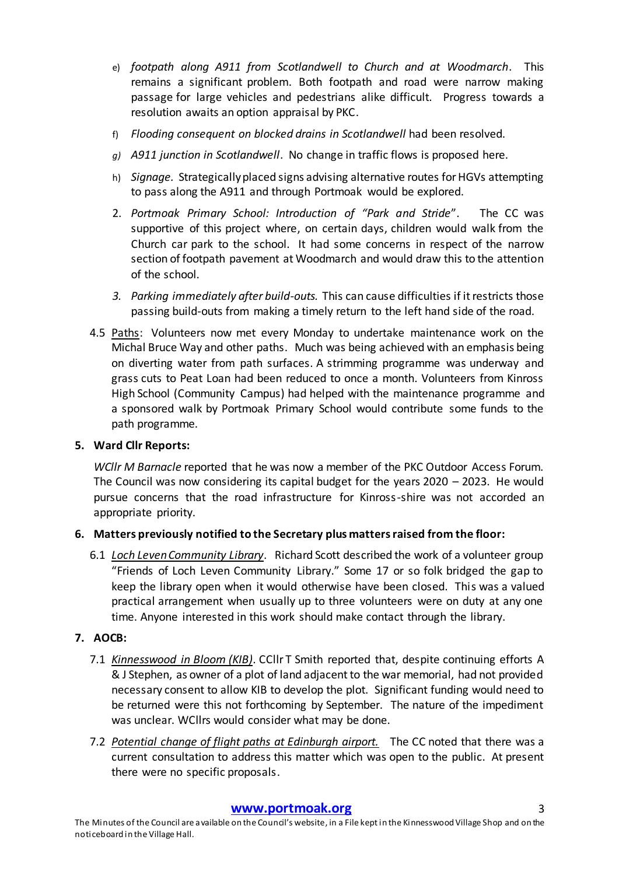- e) *footpath along A911 from Scotlandwell to Church and at Woodmarch*. This remains a significant problem. Both footpath and road were narrow making passage for large vehicles and pedestrians alike difficult. Progress towards a resolution awaits an option appraisal by PKC.
- f) *Flooding consequent on blocked drains in Scotlandwell* had been resolved.
- *g) A911 junction in Scotlandwell*. No change in traffic flows is proposed here.
- h) *Signage.* Strategically placed signs advising alternative routes for HGVs attempting to pass along the A911 and through Portmoak would be explored.
- 2. *Portmoak Primary School: Introduction of "Park and Stride*". The CC was supportive of this project where, on certain days, children would walk from the Church car park to the school. It had some concerns in respect of the narrow section of footpath pavement at Woodmarch and would draw this to the attention of the school.
- *3. Parking immediately after build-outs.* This can cause difficulties if it restricts those passing build-outs from making a timely return to the left hand side of the road.
- 4.5 Paths: Volunteers now met every Monday to undertake maintenance work on the Michal Bruce Way and other paths. Much was being achieved with an emphasis being on diverting water from path surfaces. A strimming programme was underway and grass cuts to Peat Loan had been reduced to once a month. Volunteers from Kinross High School (Community Campus) had helped with the maintenance programme and a sponsored walk by Portmoak Primary School would contribute some funds to the path programme.

#### **5. Ward Cllr Reports:**

*WCllr M Barnacle* reported that he was now a member of the PKC Outdoor Access Forum. The Council was now considering its capital budget for the years 2020 – 2023. He would pursue concerns that the road infrastructure for Kinross-shire was not accorded an appropriate priority.

## **6. Matters previously notified to the Secretary plus matters raised from the floor:**

6.1 *Loch Leven Community Library*. Richard Scott described the work of a volunteer group "Friends of Loch Leven Community Library." Some 17 or so folk bridged the gap to keep the library open when it would otherwise have been closed. This was a valued practical arrangement when usually up to three volunteers were on duty at any one time. Anyone interested in this work should make contact through the library.

## **7. AOCB:**

- 7.1 *Kinnesswood in Bloom (KIB)*. CCllr T Smith reported that, despite continuing efforts A & J Stephen, as owner of a plot of land adjacent to the war memorial, had not provided necessary consent to allow KIB to develop the plot. Significant funding would need to be returned were this not forthcoming by September. The nature of the impediment was unclear. WCllrs would consider what may be done.
- 7.2 *Potential change of flight paths at Edinburgh airport.* The CC noted that there was a current consultation to address this matter which was open to the public. At present there were no specific proposals.